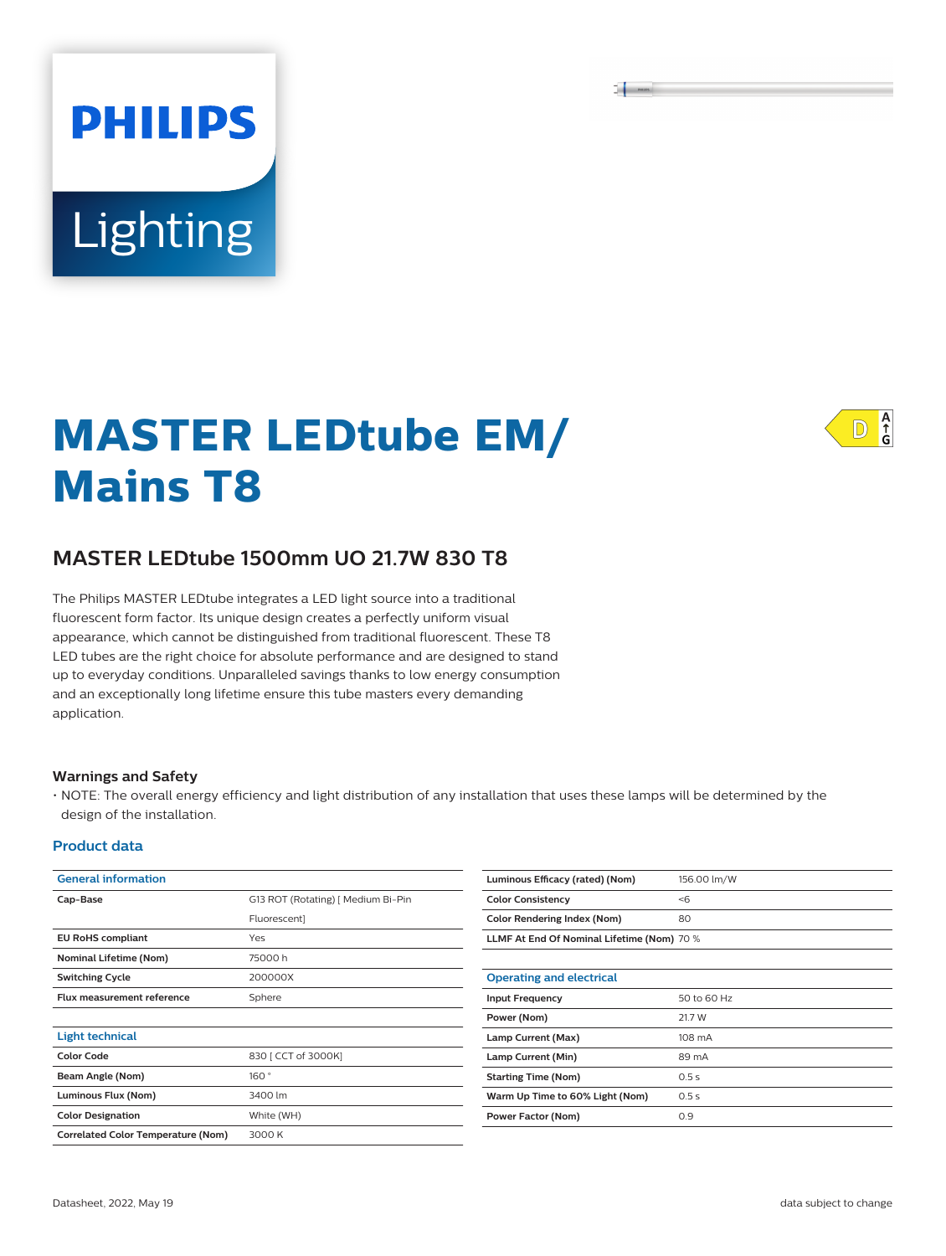$\overline{\phantom{a}}$ 

# **Lighting**

**PHILIPS** 

## **MASTER LEDtube EM/ Mains T8**



### **MASTER LEDtube 1500mm UO 21.7W 830 T8**

The Philips MASTER LEDtube integrates a LED light source into a traditional fluorescent form factor. Its unique design creates a perfectly uniform visual appearance, which cannot be distinguished from traditional fluorescent. These T8 LED tubes are the right choice for absolute performance and are designed to stand up to everyday conditions. Unparalleled savings thanks to low energy consumption and an exceptionally long lifetime ensure this tube masters every demanding application.

#### **Warnings and Safety**

• NOTE: The overall energy efficiency and light distribution of any installation that uses these lamps will be determined by the design of the installation.

#### **Product data**

| <b>General information</b>                |                                    |  |  |  |
|-------------------------------------------|------------------------------------|--|--|--|
| Cap-Base                                  | G13 ROT (Rotating) [ Medium Bi-Pin |  |  |  |
|                                           | <b>Fluorescent1</b>                |  |  |  |
| <b>EU RoHS compliant</b>                  | Yes                                |  |  |  |
| <b>Nominal Lifetime (Nom)</b>             | 75000h                             |  |  |  |
| <b>Switching Cycle</b>                    | 200000X                            |  |  |  |
| <b>Flux measurement reference</b>         | Sphere                             |  |  |  |
|                                           |                                    |  |  |  |
| <b>Light technical</b>                    |                                    |  |  |  |
| Color Code                                | 830 [ CCT of 3000K]                |  |  |  |
| Beam Angle (Nom)                          | 160°                               |  |  |  |
| Luminous Flux (Nom)                       | 3400 lm                            |  |  |  |
| <b>Color Designation</b>                  | White (WH)                         |  |  |  |
| <b>Correlated Color Temperature (Nom)</b> | 3000 K                             |  |  |  |

| Luminous Efficacy (rated) (Nom)            | 156.00 lm/W |  |
|--------------------------------------------|-------------|--|
| <b>Color Consistency</b>                   | < 6         |  |
| <b>Color Rendering Index (Nom)</b>         | 80          |  |
| LLMF At End Of Nominal Lifetime (Nom) 70 % |             |  |
|                                            |             |  |
| <b>Operating and electrical</b>            |             |  |
| <b>Input Frequency</b>                     | 50 to 60 Hz |  |
| Power (Nom)                                | 21.7 W      |  |
| Lamp Current (Max)                         | 108 mA      |  |
| Lamp Current (Min)                         | 89 mA       |  |
| <b>Starting Time (Nom)</b>                 | 0.5s        |  |
| Warm Up Time to 60% Light (Nom)            | 0.5s        |  |
| Power Factor (Nom)                         | 0.9         |  |
|                                            |             |  |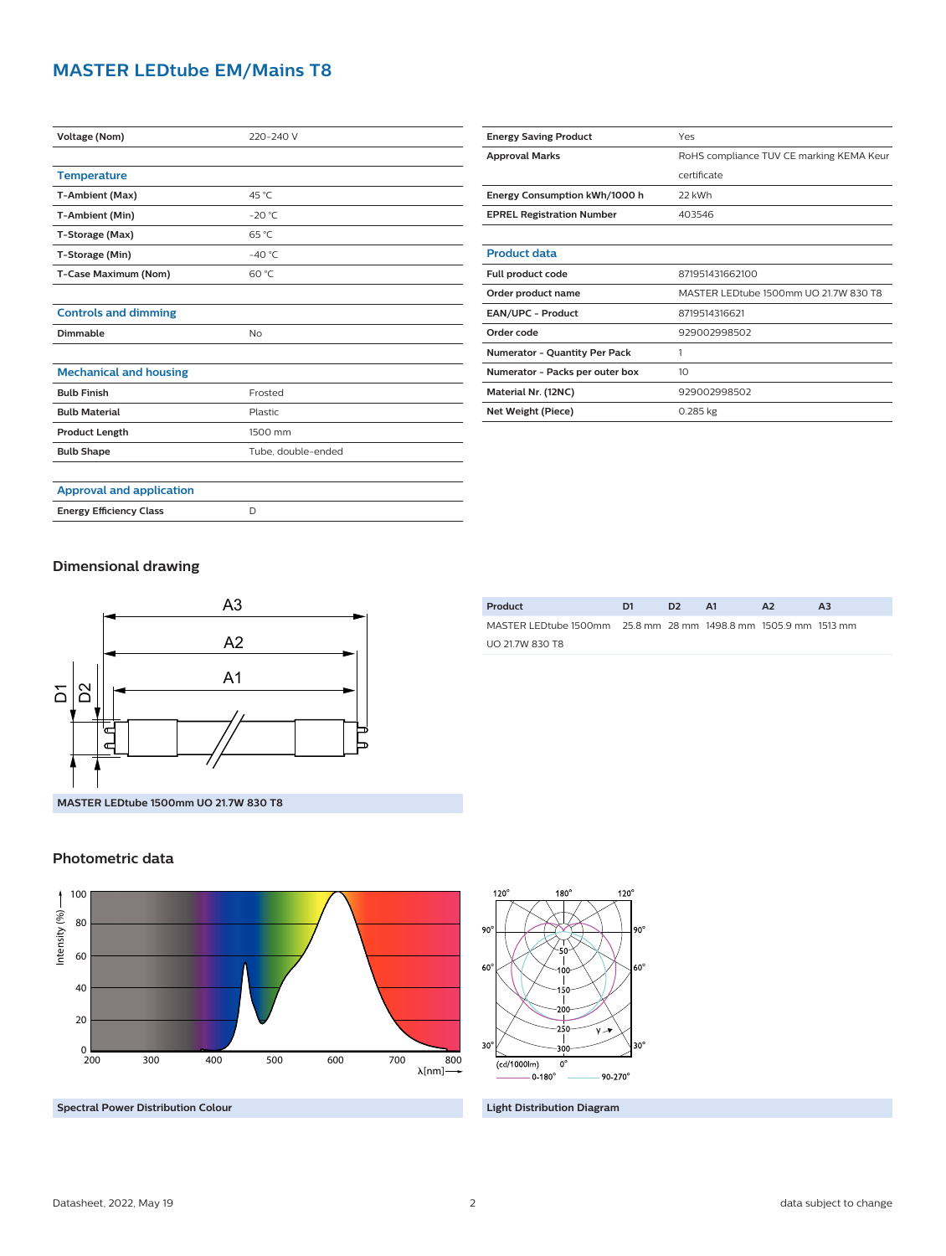#### **MASTER LEDtube EM/Mains T8**

| <b>Voltage (Nom)</b>            | 220-240 V          |  |  |  |  |
|---------------------------------|--------------------|--|--|--|--|
|                                 |                    |  |  |  |  |
| <b>Temperature</b>              |                    |  |  |  |  |
| T-Ambient (Max)                 | 45 °C              |  |  |  |  |
| T-Ambient (Min)                 | $-20 °C$           |  |  |  |  |
| T-Storage (Max)                 | 65 °C              |  |  |  |  |
| T-Storage (Min)                 | $-40^{\circ}$ C    |  |  |  |  |
| T-Case Maximum (Nom)            | 60 °C              |  |  |  |  |
|                                 |                    |  |  |  |  |
| <b>Controls and dimming</b>     |                    |  |  |  |  |
| Dimmable                        | <b>No</b>          |  |  |  |  |
|                                 |                    |  |  |  |  |
| <b>Mechanical and housing</b>   |                    |  |  |  |  |
| <b>Bulb Finish</b>              | Frosted            |  |  |  |  |
| <b>Bulb Material</b>            | Plastic            |  |  |  |  |
| <b>Product Length</b>           | 1500 mm            |  |  |  |  |
| <b>Bulb Shape</b>               | Tube, double-ended |  |  |  |  |
|                                 |                    |  |  |  |  |
| <b>Approval and application</b> |                    |  |  |  |  |
| <b>Energy Efficiency Class</b>  | D                  |  |  |  |  |

| <b>Energy Saving Product</b>     | Yes                                      |  |  |  |
|----------------------------------|------------------------------------------|--|--|--|
| <b>Approval Marks</b>            | RoHS compliance TUV CE marking KEMA Keur |  |  |  |
|                                  | certificate                              |  |  |  |
| Energy Consumption kWh/1000 h    | 22 kWh                                   |  |  |  |
| <b>EPREL Registration Number</b> | 403546                                   |  |  |  |
|                                  |                                          |  |  |  |
| <b>Product data</b>              |                                          |  |  |  |
| Full product code                | 871951431662100                          |  |  |  |
| Order product name               | MASTER LEDtube 1500mm UO 21.7W 830 T8    |  |  |  |
| <b>EAN/UPC - Product</b>         | 8719514316621                            |  |  |  |
| Order code                       | 929002998502                             |  |  |  |
| Numerator - Quantity Per Pack    | 1                                        |  |  |  |
| Numerator - Packs per outer box  | 10                                       |  |  |  |
| Material Nr. (12NC)              | 929002998502                             |  |  |  |
| Net Weight (Piece)               | $0.285$ kg                               |  |  |  |

#### **Dimensional drawing**



| Product                                                         | D1 | D <sub>2</sub> | A1 | $\mathbf{A}$ | A3 |
|-----------------------------------------------------------------|----|----------------|----|--------------|----|
| MASTER LEDtube 1500mm 25.8 mm 28 mm 1498.8 mm 1505.9 mm 1513 mm |    |                |    |              |    |
| UO 21.7W 830 T8                                                 |    |                |    |              |    |

#### **Photometric data**







 $180^\circ$ 

 $120<sup>°</sup>$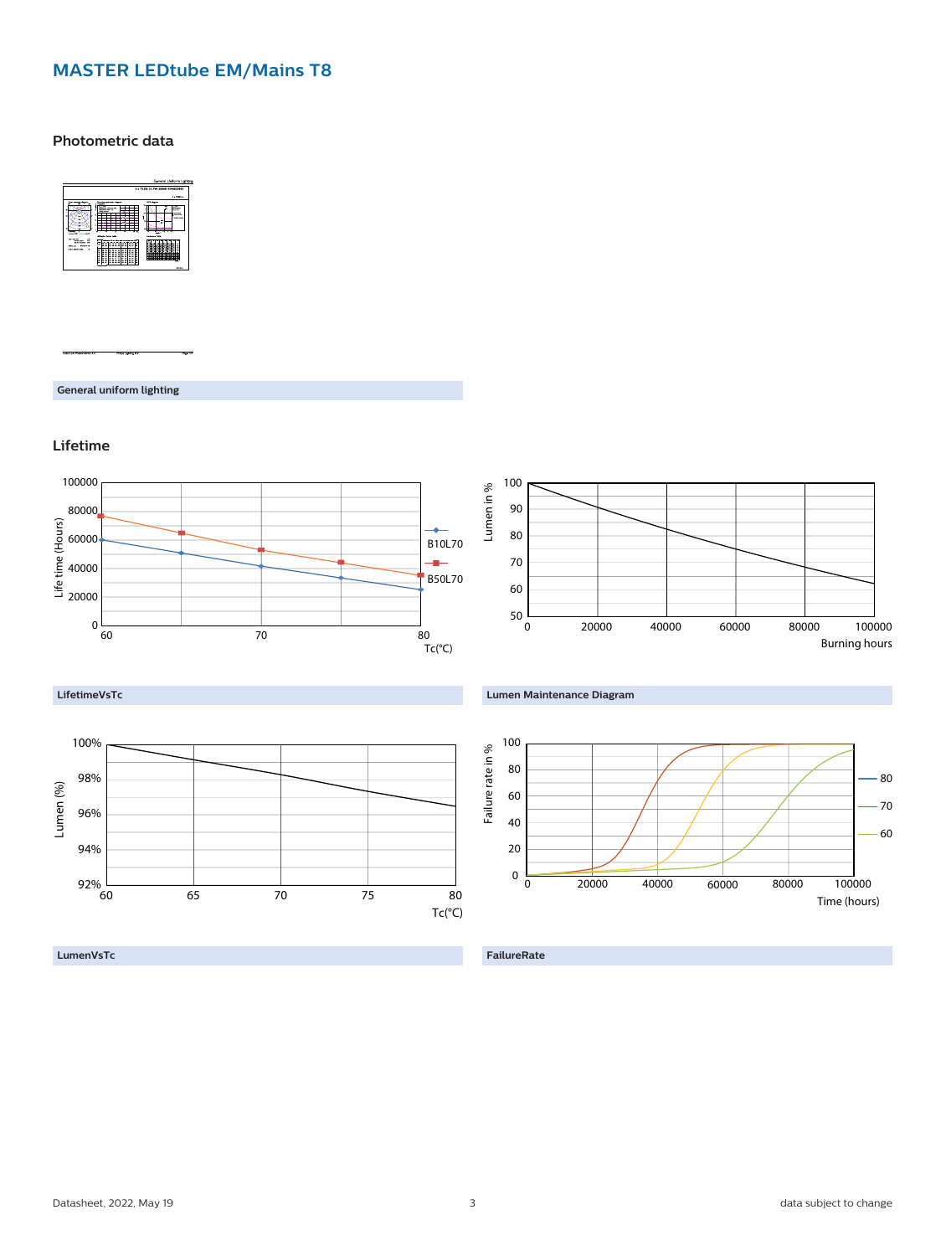#### **MASTER LEDtube EM/Mains T8**

**Photometric data**



**General uniform lighting**

**Lifetime**